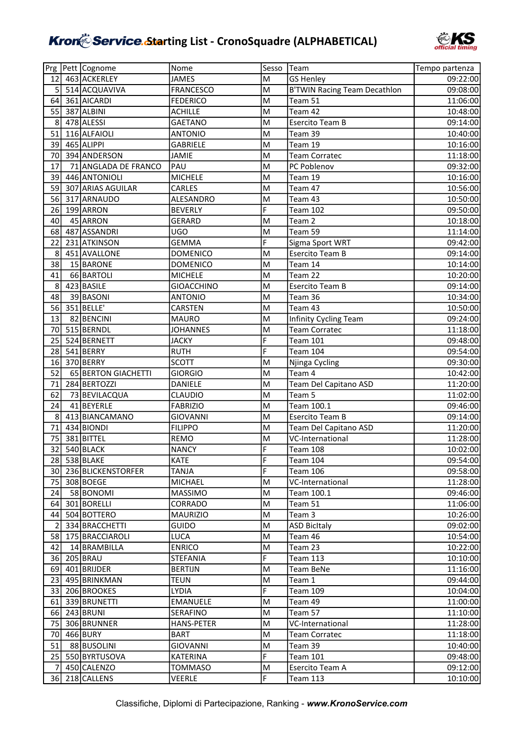

|                 | Prg   Pett   Cognome  | Nome              | Sesso | <b>Team</b>                         | Tempo partenza |
|-----------------|-----------------------|-------------------|-------|-------------------------------------|----------------|
| 12 <sup>1</sup> | 463 ACKERLEY          | <b>JAMES</b>      | M     | <b>GS Henley</b>                    | 09:22:00       |
| 5               | 514 ACQUAVIVA         | <b>FRANCESCO</b>  | M     | <b>B'TWIN Racing Team Decathlon</b> | 09:08:00       |
| 64              | 361 AICARDI           | <b>FEDERICO</b>   | M     | Team 51                             | 11:06:00       |
| 55              | 387 ALBINI            | <b>ACHILLE</b>    | M     | Team 42                             | 10:48:00       |
| 8               | 478 ALESSI            | <b>GAETANO</b>    | M     | <b>Esercito Team B</b>              | 09:14:00       |
| 51              | 116 ALFAIOLI          | <b>ANTONIO</b>    | M     | Team 39                             | 10:40:00       |
| 39              | 465 ALIPPI            | <b>GABRIELE</b>   | M     | Team 19                             | 10:16:00       |
| 70              | 394 ANDERSON          | <b>JAMIE</b>      | M     | <b>Team Corratec</b>                | 11:18:00       |
| 17              | 71 ANGLADA DE FRANCO  | PAU               | M     | PC Poblenov                         | 09:32:00       |
| 39              | 446 ANTONIOLI         | <b>MICHELE</b>    | M     | Team 19                             | 10:16:00       |
| 59              | 307 ARIAS AGUILAR     | CARLES            | M     | Team 47                             | 10:56:00       |
| 56              | 317 ARNAUDO           | ALESANDRO         | M     | Team 43                             | 10:50:00       |
| 26              | 199 ARRON             | <b>BEVERLY</b>    | F     | <b>Team 102</b>                     | 09:50:00       |
| 40              | 45 ARRON              | <b>GERARD</b>     | M     | Team 2                              | 10:18:00       |
| 68              | 487 ASSANDRI          | <b>UGO</b>        | M     | Team 59                             | 11:14:00       |
| 22              | 231 ATKINSON          | <b>GEMMA</b>      | F     | Sigma Sport WRT                     | 09:42:00       |
| 8               | 451 AVALLONE          | <b>DOMENICO</b>   | M     | <b>Esercito Team B</b>              | 09:14:00       |
| 38              | 15 BARONE             | <b>DOMENICO</b>   | M     | Team 14                             | 10:14:00       |
| 41              | 66 BARTOLI            | <b>MICHELE</b>    | M     | Team 22                             | 10:20:00       |
| 8               | 423 BASILE            | <b>GIOACCHINO</b> | M     | Esercito Team B                     | 09:14:00       |
| 48              | 39 BASONI             | <b>ANTONIO</b>    | M     | Team 36                             | 10:34:00       |
| 56              | 351 BELLE'            | CARSTEN           | M     | Team 43                             | 10:50:00       |
| 13              | 82 BENCINI            | <b>MAURO</b>      | M     | Infinity Cycling Team               | 09:24:00       |
| 70              | 515 BERNDL            | <b>JOHANNES</b>   | M     | <b>Team Corratec</b>                | 11:18:00       |
| 25              | 524 BERNETT           | <b>JACKY</b>      | F     | <b>Team 101</b>                     | 09:48:00       |
| 28              | 541 BERRY             | <b>RUTH</b>       | F     | <b>Team 104</b>                     | 09:54:00       |
| 16              | 370 BERRY             | <b>SCOTT</b>      | M     | Njinga Cycling                      | 09:30:00       |
| 52              | 65 BERTON GIACHETTI   | <b>GIORGIO</b>    | M     | Team 4                              | 10:42:00       |
| 71              | 284 BERTOZZI          | DANIELE           | M     | Team Del Capitano ASD               | 11:20:00       |
| 62              | 73 BEVILACQUA         | CLAUDIO           | M     | Team 5                              | 11:02:00       |
| 24              | 41 BEYERLE            | <b>FABRIZIO</b>   | M     | Team 100.1                          | 09:46:00       |
| 8               | 413 BIANCAMANO        | <b>GIOVANNI</b>   | M     | <b>Esercito Team B</b>              | 09:14:00       |
| 71              | 434 BIONDI            | <b>FILIPPO</b>    | M     | Team Del Capitano ASD               | 11:20:00       |
| 75              | 381 BITTEL            | REMO              | M     | VC-International                    | 11:28:00       |
| 32              | 540 BLACK             | <b>NANCY</b>      | F     | Team 108                            | 10:02:00       |
|                 | 28 538 BLAKE          | <b>KATE</b>       | F     | Team 104                            | 09:54:00       |
|                 | 30 236 BLICKENSTORFER | <b>TANJA</b>      | F     | <b>Team 106</b>                     | 09:58:00       |
|                 | 75 308 BOEGE          | MICHAEL           | M     | VC-International                    | 11:28:00       |
| 24              | 58 BONOMI             | <b>MASSIMO</b>    | M     | Team 100.1                          | 09:46:00       |
| 64              | 301 BORELLI           | CORRADO           | M     | Team 51                             | 11:06:00       |
| 44              | 504 BOTTERO           | <b>MAURIZIO</b>   | M     | Team 3                              | 10:26:00       |
| $\overline{2}$  | 334 BRACCHETTI        | <b>GUIDO</b>      | M     | <b>ASD BicItaly</b>                 | 09:02:00       |
| 58              | 175 BRACCIAROLI       | <b>LUCA</b>       | M     | Team 46                             | 10:54:00       |
| 42              | 14 BRAMBILLA          | <b>ENRICO</b>     | M     | Team 23                             | 10:22:00       |
| 36              | 205 BRAU              | STEFANIA          | F     | <b>Team 113</b>                     | 10:10:00       |
| 69              | 401 BRIJDER           | <b>BERTIJN</b>    | M     | Team BeNe                           | 11:16:00       |
| 23 <sub>l</sub> | 495 BRINKMAN          | TEUN              | M     | Team 1                              | 09:44:00       |
| 331             | 206 BROOKES           | LYDIA             | F     | Team 109                            | 10:04:00       |
| 61 I            | 339 BRUNETTI          | EMANUELE          | M     | Team 49                             | 11:00:00       |
|                 | 66 243 BRUNI          | SERAFINO          | M     | Team 57                             | 11:10:00       |
| 75              | 306 BRUNNER           | <b>HANS-PETER</b> | M     | VC-International                    | 11:28:00       |
| 70              | 466 BURY              | <b>BART</b>       | M     | <b>Team Corratec</b>                | 11:18:00       |
| 51              | 88 BUSOLINI           | <b>GIOVANNI</b>   | M     | Team 39                             | 10:40:00       |
|                 | 25 550 BYRTUSOVA      | KATERINA          | F     | Team 101                            | 09:48:00       |
| 7               | 450 CALENZO           | TOMMASO           | M     | Esercito Team A                     | 09:12:00       |
|                 | 36 218 CALLENS        | VEERLE            | F     | <b>Team 113</b>                     | 10:10:00       |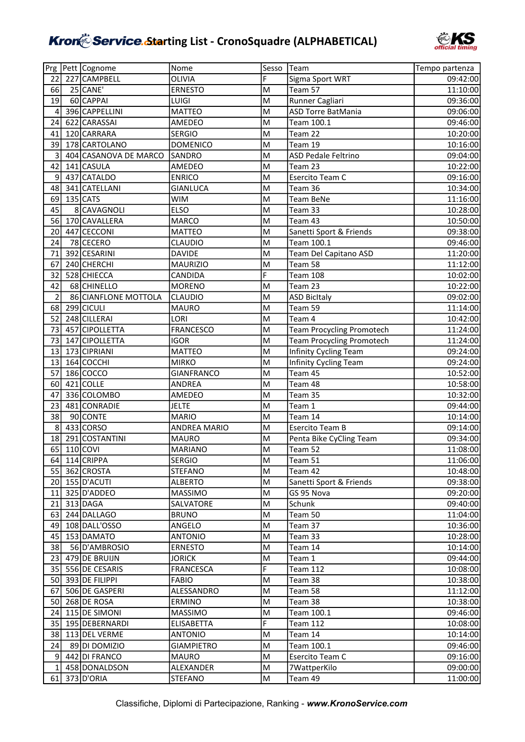

|                | Prg Pett Cognome      | Nome              | Sesso | Team                             | Tempo partenza |
|----------------|-----------------------|-------------------|-------|----------------------------------|----------------|
| 22             | 227 CAMPBELL          | <b>OLIVIA</b>     | F     | Sigma Sport WRT                  | 09:42:00       |
| 66             | 25 CANE'              | <b>ERNESTO</b>    | M     | Team 57                          | 11:10:00       |
| 19             | 60 CAPPAI             | LUIGI             | M     | Runner Cagliari                  | 09:36:00       |
| 4              | 396 CAPPELLINI        | <b>MATTEO</b>     | M     | <b>ASD Torre BatMania</b>        | 09:06:00       |
| 24             | 622 CARASSAI          | AMEDEO            | lм    | Team 100.1                       | 09:46:00       |
| 41             | 120 CARRARA           | <b>SERGIO</b>     | M     | Team 22                          | 10:20:00       |
| 39             | 178 CARTOLANO         | <b>DOMENICO</b>   | M     | Team 19                          | 10:16:00       |
| 3              | 404 CASANOVA DE MARCO | SANDRO            | M     | <b>ASD Pedale Feltrino</b>       | 09:04:00       |
| 42             | 141 CASULA            | AMEDEO            | M     | Team 23                          | 10:22:00       |
| 9              | 437 CATALDO           | <b>ENRICO</b>     | M     | Esercito Team C                  | 09:16:00       |
| 48             | 341 CATELLANI         | <b>GIANLUCA</b>   | M     | Team 36                          | 10:34:00       |
| 69             | $135$ CATS            | WIM               | M     | Team BeNe                        | 11:16:00       |
| 45             | 8 CAVAGNOLI           | <b>ELSO</b>       | M     | Team 33                          | 10:28:00       |
| 56             | 170 CAVALLERA         | <b>MARCO</b>      | M     | Team 43                          | 10:50:00       |
| 20             | 447 CECCONI           | <b>MATTEO</b>     | M     | Sanetti Sport & Friends          | 09:38:00       |
| 24             | 78 CECERO             | <b>CLAUDIO</b>    | M     | Team 100.1                       | 09:46:00       |
| 71             | 392 CESARINI          | <b>DAVIDE</b>     | lм    | Team Del Capitano ASD            | 11:20:00       |
| 67             | 240 CHERCHI           | <b>MAURIZIO</b>   | lм    | Team 58                          | 11:12:00       |
| 32             | 528 CHIECCA           | CANDIDA           | F     | <b>Team 108</b>                  | 10:02:00       |
| 42             | 68 CHINELLO           | <b>MORENO</b>     | M     | Team 23                          | 10:22:00       |
| $\overline{2}$ | 86 CIANFLONE MOTTOLA  | <b>CLAUDIO</b>    | M     | <b>ASD BicItaly</b>              | 09:02:00       |
| 68             | 299 CICULI            | <b>MAURO</b>      | M     | Team 59                          | 11:14:00       |
| 52             | 248 CILLERAI          | LORI              | M     | Team 4                           | 10:42:00       |
| 73             | 457 CIPOLLETTA        | <b>FRANCESCO</b>  | M     | <b>Team Procycling Promotech</b> | 11:24:00       |
| 73             | 147 CIPOLLETTA        | <b>IGOR</b>       | M     | <b>Team Procycling Promotech</b> | 11:24:00       |
| 13             | 173 CIPRIANI          | <b>MATTEO</b>     | lм    | Infinity Cycling Team            | 09:24:00       |
| 13             | 164 COCCHI            | <b>MIRKO</b>      | M     | <b>Infinity Cycling Team</b>     | 09:24:00       |
| 57             | 186 COCCO             | <b>GIANFRANCO</b> | M     | Team 45                          | 10:52:00       |
| 60             | $421$ COLLE           | ANDREA            | M     | Team 48                          | 10:58:00       |
| 47             | 336 COLOMBO           | AMEDEO            | M     | Team 35                          | 10:32:00       |
| 23             | 481 CONRADIE          | <b>JELTE</b>      | M     | Team 1                           | 09:44:00       |
| 38             | 90 CONTE              | <b>MARIO</b>      | M     | Team 14                          | 10:14:00       |
| 8              | 433 CORSO             | ANDREA MARIO      | M     | <b>Esercito Team B</b>           | 09:14:00       |
| 18             | 291 COSTANTINI        | <b>MAURO</b>      | M     | Penta Bike CyCling Team          | 09:34:00       |
| 65             | $110$ COVI            | <b>MARIANO</b>    | M     | Team 52                          | 11:08:00       |
|                | 64 114 CRIPPA         | <b>SERGIO</b>     | lм    | Team 51                          | 11:06:00       |
|                | 55 362 CROSTA         | <b>STEFANO</b>    | M     | Team 42                          | 10:48:00       |
|                | 20 155 D'ACUTI        | <b>ALBERTO</b>    | M     | Sanetti Sport & Friends          | 09:38:00       |
| 11             | 325 D'ADDEO           | <b>MASSIMO</b>    | M     | GS 95 Nova                       | 09:20:00       |
| 21             | 313 DAGA              | SALVATORE         | M     | Schunk                           | 09:40:00       |
| 63             | 244 DALLAGO           | <b>BRUNO</b>      | M     | Team 50                          | 11:04:00       |
| 49             | 108 DALL'OSSO         | ANGELO            | M     | Team 37                          | 10:36:00       |
| 45             | 153 DAMATO            | <b>ANTONIO</b>    | M     | Team 33                          | 10:28:00       |
| 38             | 56 D'AMBROSIO         | <b>ERNESTO</b>    | M     | Team 14                          | 10:14:00       |
| 23             | 479 DE BRUIJN         | <b>JORICK</b>     | M     | Team 1                           | 09:44:00       |
| 35             | 556 DE CESARIS        | <b>FRANCESCA</b>  | F     | <b>Team 112</b>                  | 10:08:00       |
| 50             | 393 DE FILIPPI        | <b>FABIO</b>      | M     | Team 38                          | 10:38:00       |
| 67             | 506 DE GASPERI        | ALESSANDRO        | M     | Team 58                          | 11:12:00       |
| 50I            | 268 DE ROSA           | ERMINO            | M     | Team 38                          | 10:38:00       |
| 24             | 115 DE SIMONI         | MASSIMO           | M     | Team 100.1                       | 09:46:00       |
| 35             | 195 DEBERNARDI        | <b>ELISABETTA</b> | F     | <b>Team 112</b>                  | 10:08:00       |
| 38             | 113 DEL VERME         | <b>ANTONIO</b>    | M     | Team 14                          | 10:14:00       |
| 24             | 89 DI DOMIZIO         | <b>GIAMPIETRO</b> | M     | Team 100.1                       | 09:46:00       |
| 9              | 442 DI FRANCO         | MAURO             | M     | Esercito Team C                  | 09:16:00       |
| 1 <sup>1</sup> | 458 DONALDSON         | ALEXANDER         | M     | 7WattperKilo                     | 09:00:00       |
|                | 61 373 D'ORIA         | <b>STEFANO</b>    | M     | Team 49                          | 11:00:00       |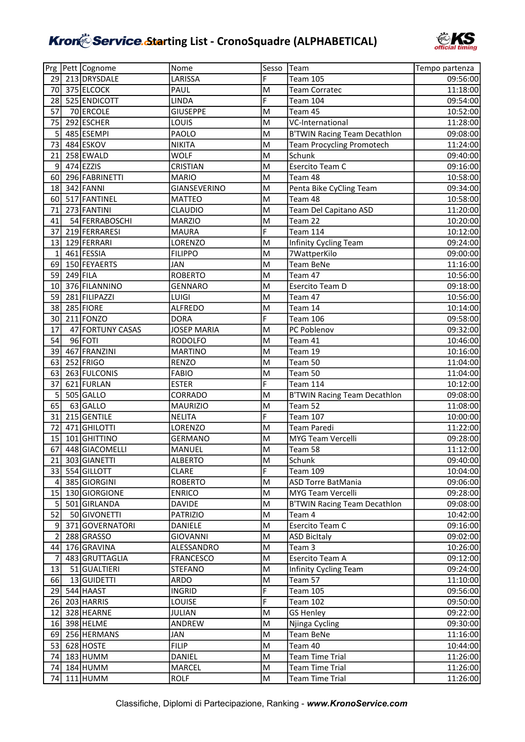

|                 |            | Prg Pett Cognome | Nome               | Sesso          | <b>Team</b>                         | Tempo partenza |
|-----------------|------------|------------------|--------------------|----------------|-------------------------------------|----------------|
| 29              |            | 213 DRYSDALE     | LARISSA            | F              | <b>Team 105</b>                     | 09:56:00       |
| 70              |            | 375 ELCOCK       | PAUL               | M              | <b>Team Corratec</b>                | 11:18:00       |
| 28              |            | 525 ENDICOTT     | <b>LINDA</b>       | $\overline{F}$ | Team 104                            | 09:54:00       |
| 57              |            | 70 ERCOLE        | <b>GIUSEPPE</b>    | M              | Team 45                             | 10:52:00       |
| 75              |            | 292 ESCHER       | LOUIS              | M              | VC-International                    | 11:28:00       |
| 5               |            | 485 ESEMPI       | PAOLO              | M              | <b>B'TWIN Racing Team Decathlon</b> | 09:08:00       |
| 73              |            | 484 ESKOV        | <b>NIKITA</b>      | M              | <b>Team Procycling Promotech</b>    | 11:24:00       |
| 21              |            | 258 EWALD        | <b>WOLF</b>        | M              | Schunk                              | 09:40:00       |
| 9               |            | 474 EZZIS        | <b>CRISTIAN</b>    | M              | Esercito Team C                     | 09:16:00       |
| 60              |            | 296 FABRINETTI   | <b>MARIO</b>       | M              | Team 48                             | 10:58:00       |
| 18              |            | 342 FANNI        | GIANSEVERINO       | M              | Penta Bike CyCling Team             | 09:34:00       |
| 60              |            | 517 FANTINEL     | <b>MATTEO</b>      | M              | Team 48                             | 10:58:00       |
| 71              |            | 273 FANTINI      | <b>CLAUDIO</b>     | M              | Team Del Capitano ASD               | 11:20:00       |
| 41              |            | 54 FERRABOSCHI   | <b>MARZIO</b>      | M              | Team 22                             | 10:20:00       |
| 37              |            | 219 FERRARESI    | <b>MAURA</b>       | F              | <b>Team 114</b>                     | 10:12:00       |
| 13              |            | 129 FERRARI      | LORENZO            | M              | Infinity Cycling Team               | 09:24:00       |
| $\mathbf{1}$    |            | 461 FESSIA       | <b>FILIPPO</b>     | M              | 7WattperKilo                        | 09:00:00       |
| 69              |            | 150 FEYAERTS     | <b>JAN</b>         | M              | <b>Team BeNe</b>                    | 11:16:00       |
| 59              | $249$ FILA |                  | <b>ROBERTO</b>     | M              | Team 47                             | 10:56:00       |
| 10              |            | 376 FILANNINO    | <b>GENNARO</b>     | M              | Esercito Team D                     | 09:18:00       |
| 59              |            | 281 FILIPAZZI    | LUIGI              | M              | Team 47                             | 10:56:00       |
| 38              |            | 285 FIORE        | <b>ALFREDO</b>     | M              | Team 14                             | 10:14:00       |
| 30              |            | $211$ FONZO      | <b>DORA</b>        | F              | Team 106                            | 09:58:00       |
| 17              |            | 47 FORTUNY CASAS | <b>JOSEP MARIA</b> | M              | PC Poblenov                         | 09:32:00       |
| 54              |            | 96 FOTI          | <b>RODOLFO</b>     | M              | Team 41                             | 10:46:00       |
| 39              |            | 467 FRANZINI     | <b>MARTINO</b>     | M              | Team 19                             | 10:16:00       |
| 63              |            | 252 FRIGO        | <b>RENZO</b>       | M              | Team 50                             | 11:04:00       |
| 63              |            | 263 FULCONIS     | <b>FABIO</b>       | M              | Team 50                             | 11:04:00       |
| 37              |            | 621 FURLAN       | <b>ESTER</b>       | F              | Team 114                            | 10:12:00       |
| 5               |            | 505 GALLO        | CORRADO            | M              | <b>B'TWIN Racing Team Decathlon</b> | 09:08:00       |
| 65              |            | 63 GALLO         | <b>MAURIZIO</b>    | M              | Team 52                             | 11:08:00       |
| 31              |            | 215 GENTILE      | <b>NELITA</b>      | $\overline{F}$ | <b>Team 107</b>                     | 10:00:00       |
| 72              |            | 471 GHILOTTI     | LORENZO            | M              | Team Paredi                         | 11:22:00       |
| 15              |            | 101 GHITTINO     | <b>GERMANO</b>     | M              | MYG Team Vercelli                   | 09:28:00       |
| 67              |            | 448 GIACOMELLI   | MANUEL             | M              | Team 58                             | 11:12:00       |
|                 |            | 21 303 GIANETTI  | <b>ALBERTO</b>     | M              | Schunk                              | 09:40:00       |
|                 |            | 33 554 GILLOTT   | <b>CLARE</b>       | $\overline{F}$ | <b>Team 109</b>                     | 10:04:00       |
| $\vert 4 \vert$ |            | 385 GIORGINI     | <b>ROBERTO</b>     | M              | <b>ASD Torre BatMania</b>           | 09:06:00       |
| 15              |            | 130 GIORGIONE    | <b>ENRICO</b>      | M              | MYG Team Vercelli                   | 09:28:00       |
| 5 <sup>1</sup>  |            | 501 GIRLANDA     | <b>DAVIDE</b>      | M              | <b>B'TWIN Racing Team Decathlon</b> | 09:08:00       |
| 52              |            | 50 GIVONETTI     | <b>PATRIZIO</b>    | M              | Team 4                              | 10:42:00       |
| 9               |            | 371 GOVERNATORI  | DANIELE            | M              | Esercito Team C                     | 09:16:00       |
| 2               |            | 288 GRASSO       | <b>GIOVANNI</b>    | M              | <b>ASD BicItaly</b>                 | 09:02:00       |
| 44              |            | 176 GRAVINA      | ALESSANDRO         | M              | Team 3                              | 10:26:00       |
| 7               |            | 483 GRUTTAGLIA   | <b>FRANCESCO</b>   | M              | Esercito Team A                     | 09:12:00       |
| 13              |            | 51 GUALTIERI     | <b>STEFANO</b>     | M              | Infinity Cycling Team               | 09:24:00       |
| 66              |            | 13 GUIDETTI      | ARDO               | M              | Team 57                             | 11:10:00       |
| 29              |            | 544 HAAST        | <b>INGRID</b>      | F              | <b>Team 105</b>                     | 09:56:00       |
| 26              |            | 203 HARRIS       | LOUISE             | F              | <b>Team 102</b>                     | 09:50:00       |
| 12              |            | 328 HEARNE       | <b>JULIAN</b>      | M              | <b>GS Henley</b>                    | 09:22:00       |
|                 |            | 16 398 HELME     | ANDREW             | M              | Njinga Cycling                      | 09:30:00       |
|                 |            | 69 256 HERMANS   | JAN                | M              | Team BeNe                           | 11:16:00       |
| 53              |            | 628 HOSTE        | <b>FILIP</b>       | M              | Team 40                             | 10:44:00       |
| 74              |            | 183 HUMM         | DANIEL             | M              | <b>Team Time Trial</b>              | 11:26:00       |
| 74              |            | 184 HUMM         | <b>MARCEL</b>      | M              | <b>Team Time Trial</b>              | 11:26:00       |
|                 |            | 74 111 HUMM      | <b>ROLF</b>        | M              | <b>Team Time Trial</b>              | 11:26:00       |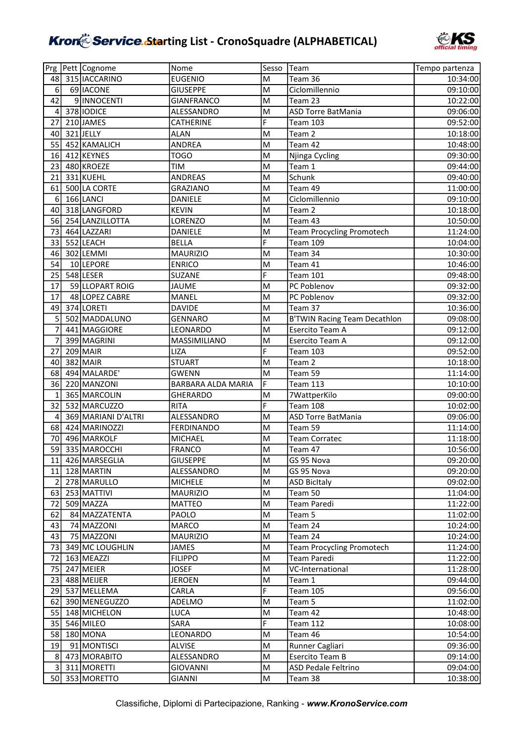

|                         | Prg Pett Cognome    | Nome               | Sesso | <b>Team</b>                         | Tempo partenza |
|-------------------------|---------------------|--------------------|-------|-------------------------------------|----------------|
| 48                      | 315   IACCARINO     | <b>EUGENIO</b>     | M     | Team 36                             | 10:34:00       |
| 6                       | 69 IACONE           | <b>GIUSEPPE</b>    | M     | Ciclomillennio                      | 09:10:00       |
| 42                      | 9 INNOCENTI         | <b>GIANFRANCO</b>  | M     | Team 23                             | 10:22:00       |
| $\overline{\mathbf{4}}$ | 378 IODICE          | ALESSANDRO         | M     | <b>ASD Torre BatMania</b>           | 09:06:00       |
| 27                      | 210 JAMES           | CATHERINE          | F     | <b>Team 103</b>                     | 09:52:00       |
| 40                      | 321JELLY            | <b>ALAN</b>        | M     | Team 2                              | 10:18:00       |
| 55                      | 452 KAMALICH        | ANDREA             | lм    | Team 42                             | 10:48:00       |
| 16                      | 412 KEYNES          | <b>TOGO</b>        | M     | Njinga Cycling                      | 09:30:00       |
| 23                      | 480 KROEZE          | TIM                | M     | Team 1                              | 09:44:00       |
| 21                      | 331 KUEHL           | <b>ANDREAS</b>     | M     | Schunk                              | 09:40:00       |
| 61                      | 500 LA CORTE        | <b>GRAZIANO</b>    | M     | Team 49                             | 11:00:00       |
| 6                       | 166 LANCI           | DANIELE            | M     | Ciclomillennio                      | 09:10:00       |
| 40                      | 318 LANGFORD        | <b>KEVIN</b>       | M     | Team 2                              | 10:18:00       |
| 56                      | 254 LANZILLOTTA     | LORENZO            | M     | Team 43                             | 10:50:00       |
| 73                      | 464 LAZZARI         | DANIELE            | M     | <b>Team Procycling Promotech</b>    | 11:24:00       |
| 33                      | 552 LEACH           | <b>BELLA</b>       | F     | <b>Team 109</b>                     | 10:04:00       |
| 46                      | 302 LEMMI           | <b>MAURIZIO</b>    | M     | Team 34                             | 10:30:00       |
| 54                      | 10 LEPORE           | <b>ENRICO</b>      | M     | Team 41                             | 10:46:00       |
| 25                      | 548 LESER           | SUZANE             | F     | <b>Team 101</b>                     | 09:48:00       |
| 17                      | 59 LLOPART ROIG     | JAUME              | M     | PC Poblenov                         | 09:32:00       |
| 17                      | 48 LOPEZ CABRE      | MANEL              | M     | PC Poblenov                         | 09:32:00       |
| 49                      | 374 LORETI          | <b>DAVIDE</b>      | M     | Team 37                             | 10:36:00       |
| 5                       | 502 MADDALUNO       | <b>GENNARO</b>     | M     | <b>B'TWIN Racing Team Decathlon</b> | 09:08:00       |
| $\overline{7}$          | 441 MAGGIORE        | LEONARDO           | lм    | Esercito Team A                     | 09:12:00       |
| $\overline{7}$          | 399 MAGRINI         | MASSIMILIANO       | M     | Esercito Team A                     | 09:12:00       |
| 27                      | $209$ MAIR          | LIZA               | F     | <b>Team 103</b>                     | 09:52:00       |
| 40                      | 382 MAIR            | <b>STUART</b>      | M     | Team 2                              | 10:18:00       |
| 68                      | 494 MALARDE'        | GWENN              | lм    | Team 59                             | 11:14:00       |
| 36                      | 220 MANZONI         | BARBARA ALDA MARIA | F     | <b>Team 113</b>                     | 10:10:00       |
| 1                       | 365 MARCOLIN        | <b>GHERARDO</b>    | M     | 7WattperKilo                        | 09:00:00       |
| 32                      | 532 MARCUZZO        | <b>RITA</b>        | F     | <b>Team 108</b>                     | 10:02:00       |
| 4                       | 369 MARIANI D'ALTRI | ALESSANDRO         | lм    | <b>ASD Torre BatMania</b>           | 09:06:00       |
| 68                      | 424 MARINOZZI       | <b>FERDINANDO</b>  | M     | Team 59                             | 11:14:00       |
| 70                      | 496 MARKOLF         | MICHAEL            | M     | <b>Team Corratec</b>                | 11:18:00       |
| 59                      | 335 MAROCCHI        | <b>FRANCO</b>      | M     | Team 47                             | 10:56:00       |
|                         | 11 426 MARSEGLIA    | <b>GIUSEPPE</b>    | M     | GS 95 Nova                          | 09:20:00       |
|                         | 11 128 MARTIN       | ALESSANDRO         | M     | GS 95 Nova                          | 09:20:00       |
| $\overline{2}$          | 278 MARULLO         | <b>MICHELE</b>     | M     | <b>ASD BicItaly</b>                 | 09:02:00       |
| 63                      | 253 MATTIVI         | <b>MAURIZIO</b>    | M     | Team 50                             | 11:04:00       |
| 72                      | 509 MAZZA           | <b>MATTEO</b>      | M     | Team Paredi                         | 11:22:00       |
| 62                      | 84 MAZZATENTA       | PAOLO              | M     | Team 5                              | 11:02:00       |
| 43                      | 74 MAZZONI          | MARCO              | M     | Team 24                             | 10:24:00       |
| 43                      | 75 MAZZONI          | <b>MAURIZIO</b>    | M     | Team 24                             | 10:24:00       |
| 73 I                    | 349 MC LOUGHLIN     | JAMES              | M     | <b>Team Procycling Promotech</b>    | 11:24:00       |
| 72                      | 163 MEAZZI          | <b>FILIPPO</b>     | M     | Team Paredi                         | 11:22:00       |
| 75                      | 247 MEIER           | <b>JOSEF</b>       | M     | VC-International                    | 11:28:00       |
| 23                      | 488 MEIJER          | <b>JEROEN</b>      | M     | Team 1                              | 09:44:00       |
| 29                      | 537 MELLEMA         | CARLA              | F     | <b>Team 105</b>                     | 09:56:00       |
| 62                      | 390 MENEGUZZO       | ADELMO             | M     | Team 5                              | 11:02:00       |
| 55                      | 148 MICHELON        | LUCA               | M     | Team 42                             | 10:48:00       |
| 35                      | 546 MILEO           | SARA               | F     | <b>Team 112</b>                     | 10:08:00       |
| 58                      | 180 MONA            | LEONARDO           | M     | Team 46                             | 10:54:00       |
| 19                      | 91 MONTISCI         | <b>ALVISE</b>      | M     | Runner Cagliari                     | 09:36:00       |
| 8 <sup>1</sup>          | 473 MORABITO        | ALESSANDRO         | M     | Esercito Team B                     | 09:14:00       |
| $\overline{3}$          | 311 MORETTI         | <b>GIOVANNI</b>    | M     | ASD Pedale Feltrino                 | 09:04:00       |
|                         | 50 353 MORETTO      | <b>GIANNI</b>      | M     | Team 38                             | 10:38:00       |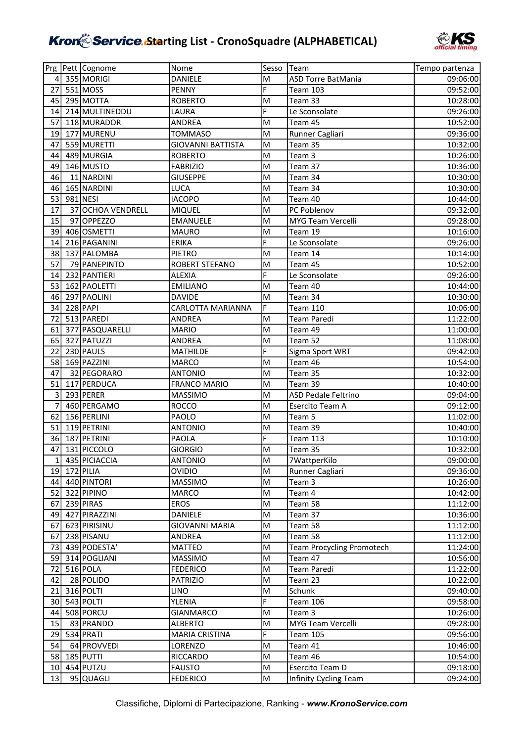

|                 | Prg Pett Cognome  | Nome                     | Sesso          | Team                             | Tempo partenza |
|-----------------|-------------------|--------------------------|----------------|----------------------------------|----------------|
| $\vert$         | 355 MORIGI        | <b>DANIELE</b>           | M              | ASD Torre BatMania               | 09:06:00       |
| 27              | 551 MOSS          | PENNY                    | F              | <b>Team 103</b>                  | 09:52:00       |
| 45              | 295 MOTTA         | <b>ROBERTO</b>           | M              | Team 33                          | 10:28:00       |
| 14              | 214 MULTINEDDU    | LAURA                    | $\overline{F}$ | Le Sconsolate                    | 09:26:00       |
| 57              | 118 MURADOR       | <b>ANDREA</b>            | M              | Team 45                          | 10:52:00       |
| 19              | 177 MURENU        | <b>TOMMASO</b>           | M              | Runner Cagliari                  | 09:36:00       |
| 47              | 559 MURETTI       | <b>GIOVANNI BATTISTA</b> | M              | Team 35                          | 10:32:00       |
| 44              | 489 MURGIA        | <b>ROBERTO</b>           | M              | Team 3                           | 10:26:00       |
| 49              | 146 MUSTO         | <b>FABRIZIO</b>          | M              | Team 37                          | 10:36:00       |
| 46              | 11 NARDINI        | <b>GIUSEPPE</b>          | M              | Team 34                          | 10:30:00       |
| 46              | 165 NARDINI       | LUCA                     | M              | Team 34                          | 10:30:00       |
| 53              | 981 NESI          | <b>IACOPO</b>            | M              | Team 40                          | 10:44:00       |
| 17              | 37 OCHOA VENDRELL | MIQUEL                   | M              | PC Poblenov                      | 09:32:00       |
| 15              | 97 OPPEZZO        | <b>EMANUELE</b>          | M              | MYG Team Vercelli                | 09:28:00       |
| 39              | 406 OSMETTI       | <b>MAURO</b>             | M              | Team 19                          | 10:16:00       |
| 14              | 216 PAGANINI      | <b>ERIKA</b>             | F              | Le Sconsolate                    | 09:26:00       |
| 38              | 137 PALOMBA       | <b>PIETRO</b>            | M              | Team 14                          | 10:14:00       |
| 57              | 79 PANEPINTO      | ROBERT STEFANO           | M              | Team 45                          | 10:52:00       |
| 14              | 232 PANTIERI      | <b>ALEXIA</b>            | F              | Le Sconsolate                    | 09:26:00       |
| 53              | 162 PAOLETTI      | <b>EMILIANO</b>          | M              | Team 40                          | 10:44:00       |
| 46              | 297 PAOLINI       | <b>DAVIDE</b>            | M              | Team 34                          | 10:30:00       |
| 34              | 228 PAPI          | CARLOTTA MARIANNA        | F              | <b>Team 110</b>                  | 10:06:00       |
| 72              | 513 PAREDI        | ANDREA                   | M              | Team Paredi                      | 11:22:00       |
| 61              | 377 PASQUARELLI   | <b>MARIO</b>             | M              | Team 49                          | 11:00:00       |
| 65              | 327 PATUZZI       | ANDREA                   | M              | Team 52                          | 11:08:00       |
| 22              | 230 PAULS         | MATHILDE                 | F              | Sigma Sport WRT                  | 09:42:00       |
| 58              | 169 PAZZINI       | <b>MARCO</b>             | M              | Team 46                          | 10:54:00       |
| 47              | 32 PEGORARO       | <b>ANTONIO</b>           | M              | Team 35                          | 10:32:00       |
| 51              | 117 PERDUCA       | <b>FRANCO MARIO</b>      | M              | Team 39                          | 10:40:00       |
| 3               | 293 PERER         | MASSIMO                  | M              | <b>ASD Pedale Feltrino</b>       | 09:04:00       |
| 7               | 460 PERGAMO       | <b>ROCCO</b>             | M              | Esercito Team A                  | 09:12:00       |
| 62              | 156 PERLINI       | PAOLO                    | M              | Team 5                           | 11:02:00       |
| 51              | 119 PETRINI       | <b>ANTONIO</b>           | M              | Team 39                          | 10:40:00       |
| 36              | 187 PETRINI       | PAOLA                    | F              | <b>Team 113</b>                  | 10:10:00       |
| 47              | 131 PICCOLO       | <b>GIORGIO</b>           | M              | Team 35                          | 10:32:00       |
| 1 <sup>1</sup>  | 435 PICIACCIA     | <b>ANTONIO</b>           | M              | 7WattperKilo                     | 09:00:00       |
| 19              | $172$ PILIA       | <b>OVIDIO</b>            | M              | Runner Cagliari                  | 09:36:00       |
| 44              | 440 PINTORI       | <b>MASSIMO</b>           | M              | Team 3                           | 10:26:00       |
| 52              | 322 PIPINO        | MARCO                    | M              | Team 4                           | 10:42:00       |
| 67              | 239 PIRAS         | <b>EROS</b>              | M              | Team 58                          | 11:12:00       |
| 49              | 427 PIRAZZINI     | DANIELE                  | M              | Team 37                          | 10:36:00       |
| 67              | 623 PIRISINU      | <b>GIOVANNI MARIA</b>    | M              | Team 58                          | 11:12:00       |
| 67              | 238 PISANU        | ANDREA                   | M              | Team 58                          | 11:12:00       |
| 73              | 439 PODESTA'      | MATTEO                   | M              | <b>Team Procycling Promotech</b> | 11:24:00       |
| 59              | 314 POGLIANI      | MASSIMO                  | M              | Team 47                          | 10:56:00       |
| 72              | $516$ POLA        | <b>FEDERICO</b>          | M              | Team Paredi                      | 11:22:00       |
| 42              | 28 POLIDO         | <b>PATRIZIO</b>          | M              | Team 23                          | 10:22:00       |
| 21              | 316 POLTI         | <b>LINO</b>              | M              | Schunk                           | 09:40:00       |
| 30              | 543 POLTI         | <b>YLENIA</b>            | F              | <b>Team 106</b>                  | 09:58:00       |
| 44              | 508 PORCU         | <b>GIANMARCO</b>         | M              | Team 3                           | 10:26:00       |
| 15              | 83 PRANDO         | <b>ALBERTO</b>           | M              | MYG Team Vercelli                | 09:28:00       |
| 29              | 534 PRATI         | <b>MARIA CRISTINA</b>    | F              | <b>Team 105</b>                  | 09:56:00       |
| 54              | 64 PROVVEDI       | LORENZO                  | M              | Team 41                          | 10:46:00       |
| 58              | 185 PUTTI         | RICCARDO                 | M              | Team 46                          | 10:54:00       |
| 10 <sup>1</sup> | 454 PUTZU         | <b>FAUSTO</b>            | M              | Esercito Team D                  | 09:18:00       |
| 13              | 95 QUAGLI         | <b>FEDERICO</b>          | M              | Infinity Cycling Team            | 09:24:00       |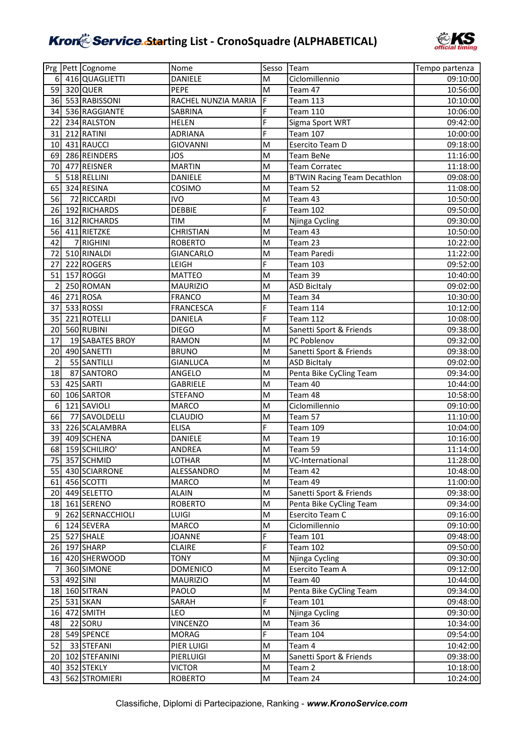

|                |          | Prg Pett Cognome | Nome                | Sesso          | Team                                | Tempo partenza |
|----------------|----------|------------------|---------------------|----------------|-------------------------------------|----------------|
| 6              |          | 416 QUAGLIETTI   | DANIELE             | M              | Ciclomillennio                      | 09:10:00       |
| 59             |          | 320 QUER         | PEPE                | M              | Team 47                             | 10:56:00       |
| 36             |          | 553 RABISSONI    | RACHEL NUNZIA MARIA | $\overline{F}$ | <b>Team 113</b>                     | 10:10:00       |
| 34             |          | 536 RAGGIANTE    | SABRINA             | F              | <b>Team 110</b>                     | 10:06:00       |
| 22             |          | 234 RALSTON      | <b>HELEN</b>        | F              | Sigma Sport WRT                     | 09:42:00       |
| 31             |          | 212 RATINI       | <b>ADRIANA</b>      | F              | <b>Team 107</b>                     | 10:00:00       |
| 10             |          | 431 RAUCCI       | <b>GIOVANNI</b>     | M              | Esercito Team D                     | 09:18:00       |
| 69             |          | 286 REINDERS     | <b>JOS</b>          | M              | <b>Team BeNe</b>                    | 11:16:00       |
| 70             |          | 477 REISNER      | <b>MARTIN</b>       | M              | <b>Team Corratec</b>                | 11:18:00       |
| 5              |          | 518 RELLINI      | DANIELE             | M              | <b>B'TWIN Racing Team Decathlon</b> | 09:08:00       |
| 65             |          | 324 RESINA       | COSIMO              | M              | Team 52                             | 11:08:00       |
| 56             |          | 72 RICCARDI      | <b>IVO</b>          | M              | Team 43                             | 10:50:00       |
| 26             |          | 192 RICHARDS     | <b>DEBBIE</b>       | F              | <b>Team 102</b>                     | 09:50:00       |
| 16             |          | 312 RICHARDS     | <b>TIM</b>          | lм             | Njinga Cycling                      | 09:30:00       |
| 56             |          | 411 RIETZKE      | <b>CHRISTIAN</b>    | M              | Team 43                             | 10:50:00       |
| 42             |          | 7 RIGHINI        | <b>ROBERTO</b>      | M              | Team 23                             | 10:22:00       |
| 72             |          | 510 RINALDI      | GIANCARLO           | M              | <b>Team Paredi</b>                  | 11:22:00       |
| 27             |          | 222 ROGERS       | LEIGH               | F              | <b>Team 103</b>                     | 09:52:00       |
| 51             |          | 157 ROGGI        | <b>MATTEO</b>       | M              | Team 39                             | 10:40:00       |
| 2              |          | 250 ROMAN        | <b>MAURIZIO</b>     | M              | <b>ASD BicItaly</b>                 | 09:02:00       |
| 46             |          | $271$ ROSA       | <b>FRANCO</b>       | M              | Team 34                             | 10:30:00       |
| 37             |          | 533 ROSSI        | <b>FRANCESCA</b>    | F              | Team 114                            | 10:12:00       |
| 35             |          | 221 ROTELLI      | <b>DANIELA</b>      | F              | <b>Team 112</b>                     | 10:08:00       |
| 20             |          | 560 RUBINI       | <b>DIEGO</b>        | M              | Sanetti Sport & Friends             | 09:38:00       |
| 17             |          | 19 SABATES BROY  | RAMON               | M              | PC Poblenov                         | 09:32:00       |
| 20             |          | 490 SANETTI      | <b>BRUNO</b>        | M              | Sanetti Sport & Friends             | 09:38:00       |
| $\overline{2}$ |          | 55 SANTILLI      | <b>GIANLUCA</b>     | M              | <b>ASD BicItaly</b>                 | 09:02:00       |
| 18             |          | 87 SANTORO       | ANGELO              | M              | Penta Bike CyCling Team             | 09:34:00       |
| 53             |          | 425 SARTI        | GABRIELE            | M              | Team 40                             | 10:44:00       |
| 60             |          | 106 SARTOR       | <b>STEFANO</b>      | M              | Team 48                             | 10:58:00       |
| 6              |          | 121 SAVIOLI      | <b>MARCO</b>        | lм             | Ciclomillennio                      | 09:10:00       |
| 66             |          | 77 SAVOLDELLI    | CLAUDIO             | M              | Team 57                             | 11:10:00       |
| 33             |          | 226 SCALAMBRA    | <b>ELISA</b>        | F              | <b>Team 109</b>                     | 10:04:00       |
| 39             |          | 409 SCHENA       | DANIELE             | M              | Team 19                             | 10:16:00       |
| 68             |          | 159 SCHILIRO'    | <b>ANDREA</b>       | M              | Team 59                             | 11:14:00       |
| 75             |          | 357 SCHMID       | LOTHAR              | M              | VC-International                    | 11:28:00       |
| 55             |          | 430 SCIARRONE    | ALESSANDRO          | M              | Team 42                             | 10:48:00       |
| 61             |          | 456 SCOTTI       | MARCO               | M              | Team 49                             | 11:00:00       |
| 20             |          | 449 SELETTO      | <b>ALAIN</b>        | M              | Sanetti Sport & Friends             | 09:38:00       |
| 18             |          | 161 SERENO       | <b>ROBERTO</b>      | M              | Penta Bike CyCling Team             | 09:34:00       |
| $\overline{9}$ |          | 262 SERNACCHIOLI | LUIGI               | M              | Esercito Team C                     | 09:16:00       |
| 6              |          | 124 SEVERA       | MARCO               | M              | Ciclomillennio                      | 09:10:00       |
| 25             |          | 527 SHALE        | <b>JOANNE</b>       | F              | <b>Team 101</b>                     | 09:48:00       |
| 26             |          | 197 SHARP        | <b>CLAIRE</b>       | F              | <b>Team 102</b>                     | 09:50:00       |
| 16             |          | 420 SHERWOOD     | <b>TONY</b>         | M              | Njinga Cycling                      | 09:30:00       |
| 7              |          | 360 SIMONE       | <b>DOMENICO</b>     | M              | Esercito Team A                     | 09:12:00       |
| 53             | 492 SINI |                  | <b>MAURIZIO</b>     | M              | Team 40                             | 10:44:00       |
| 18             |          | 160 SITRAN       | PAOLO               | M              | Penta Bike CyCling Team             | 09:34:00       |
| 25             |          | 531 SKAN         | SARAH               | F              | <b>Team 101</b>                     | 09:48:00       |
| 16             |          | 472 SMITH        | LEO                 | M              | Njinga Cycling                      | 09:30:00       |
| 48             |          | 22 SORU          | <b>VINCENZO</b>     | M              | Team 36                             | 10:34:00       |
| 28             |          | 549 SPENCE       | <b>MORAG</b>        | F              | Team 104                            | 09:54:00       |
| 52             |          | 33 STEFANI       | PIER LUIGI          | M              | Team 4                              | 10:42:00       |
| 20             |          | 102 STEFANINI    | PIERLUIGI           | M              | Sanetti Sport & Friends             | 09:38:00       |
| 40             |          | 352 STEKLY       | <b>VICTOR</b>       | M              | Team 2                              | 10:18:00       |
| 43             |          | 562 STROMIERI    | <b>ROBERTO</b>      | M              | Team 24                             | 10:24:00       |